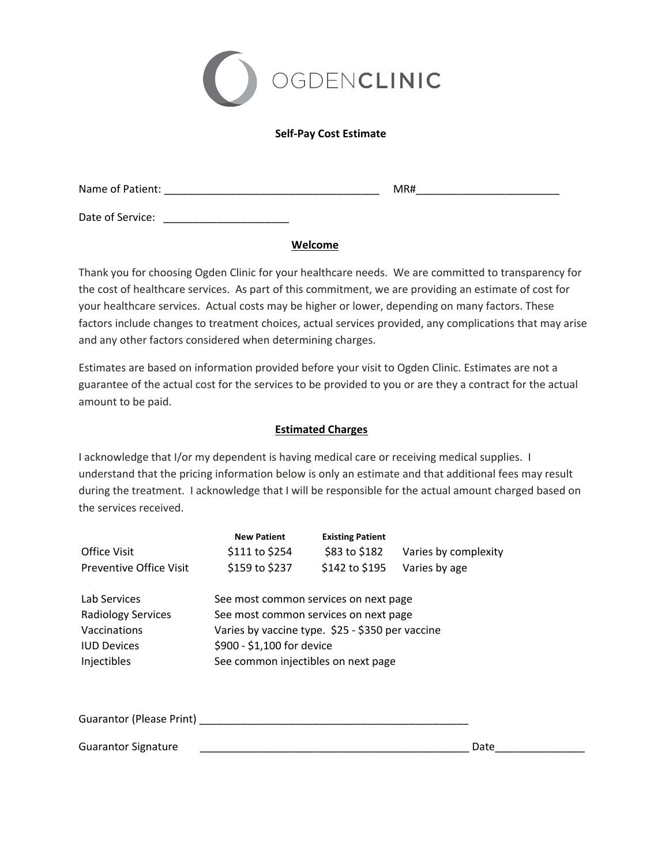

## **Self‐Pay Cost Estimate**

Name of Patient: \_\_\_\_\_\_\_\_\_\_\_\_\_\_\_\_\_\_\_\_\_\_\_\_\_\_\_\_\_\_\_\_\_\_\_\_ MR#\_\_\_\_\_\_\_\_\_\_\_\_\_\_\_\_\_\_\_\_\_\_\_\_

Date of Service: \_\_\_\_\_\_\_\_\_\_\_\_\_\_\_\_\_\_\_\_\_

**Welcome**

Thank you for choosing Ogden Clinic for your healthcare needs. We are committed to transparency for the cost of healthcare services. As part of this commitment, we are providing an estimate of cost for your healthcare services. Actual costs may be higher or lower, depending on many factors. These factors include changes to treatment choices, actual services provided, any complications that may arise and any other factors considered when determining charges.

Estimates are based on information provided before your visit to Ogden Clinic. Estimates are not a guarantee of the actual cost for the services to be provided to you or are they a contract for the actual amount to be paid.

## **Estimated Charges**

I acknowledge that I/or my dependent is having medical care or receiving medical supplies. I understand that the pricing information below is only an estimate and that additional fees may result during the treatment. I acknowledge that I will be responsible for the actual amount charged based on the services received.

| Varies by complexity                             |  |  |  |  |  |
|--------------------------------------------------|--|--|--|--|--|
|                                                  |  |  |  |  |  |
| Varies by age                                    |  |  |  |  |  |
| See most common services on next page            |  |  |  |  |  |
| See most common services on next page            |  |  |  |  |  |
| Varies by vaccine type. \$25 - \$350 per vaccine |  |  |  |  |  |
| \$900 - \$1,100 for device                       |  |  |  |  |  |
| See common injectibles on next page              |  |  |  |  |  |
|                                                  |  |  |  |  |  |
|                                                  |  |  |  |  |  |
|                                                  |  |  |  |  |  |

Guarantor Signature **by a structure of the structure** of the structure of the structure of the structure of the structure of the structure of the structure of the structure of the structure of the structure of the structur